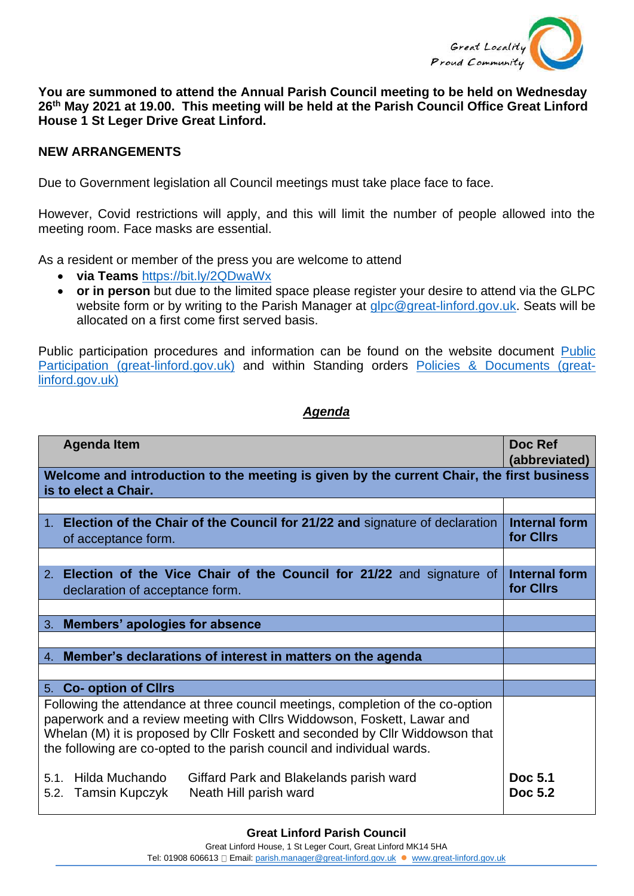

**You are summoned to attend the Annual Parish Council meeting to be held on Wednesday 26th May 2021 at 19.00. This meeting will be held at the Parish Council Office Great Linford House 1 St Leger Drive Great Linford.**

## **NEW ARRANGEMENTS**

Due to Government legislation all Council meetings must take place face to face.

However, Covid restrictions will apply, and this will limit the number of people allowed into the meeting room. Face masks are essential.

As a resident or member of the press you are welcome to attend

- **via Teams** <https://bit.ly/2QDwaWx>
- **or in person** but due to the limited space please register your desire to attend via the GLPC website form or by writing to the Parish Manager at [glpc@great-linford.gov.uk.](mailto:glpc@great-linford.gov.uk) Seats will be allocated on a first come first served basis.

Public participation procedures and information can be found on the website document [Public](https://www.great-linford.gov.uk/council-meetings/public-participation/)  [Participation \(great-linford.gov.uk\)](https://www.great-linford.gov.uk/council-meetings/public-participation/) and within Standing orders [Policies & Documents \(great](https://www.great-linford.gov.uk/the-parish-council/policies-documents/)[linford.gov.uk\)](https://www.great-linford.gov.uk/the-parish-council/policies-documents/)

## *Agenda*

| <b>Agenda Item</b>                                                                                                                                                                                                                                                                                                    | Doc Ref<br>(abbreviated)          |
|-----------------------------------------------------------------------------------------------------------------------------------------------------------------------------------------------------------------------------------------------------------------------------------------------------------------------|-----------------------------------|
| Welcome and introduction to the meeting is given by the current Chair, the first business<br>is to elect a Chair.                                                                                                                                                                                                     |                                   |
|                                                                                                                                                                                                                                                                                                                       |                                   |
| 1. Election of the Chair of the Council for 21/22 and signature of declaration<br>of acceptance form.                                                                                                                                                                                                                 | Internal form<br>for Cllrs        |
|                                                                                                                                                                                                                                                                                                                       |                                   |
| 2. Election of the Vice Chair of the Council for 21/22 and signature of<br>declaration of acceptance form.                                                                                                                                                                                                            | <b>Internal form</b><br>for Cllrs |
|                                                                                                                                                                                                                                                                                                                       |                                   |
| 3. Members' apologies for absence                                                                                                                                                                                                                                                                                     |                                   |
|                                                                                                                                                                                                                                                                                                                       |                                   |
| 4. Member's declarations of interest in matters on the agenda                                                                                                                                                                                                                                                         |                                   |
|                                                                                                                                                                                                                                                                                                                       |                                   |
| 5. Co- option of Cllrs                                                                                                                                                                                                                                                                                                |                                   |
| Following the attendance at three council meetings, completion of the co-option<br>paperwork and a review meeting with Cllrs Widdowson, Foskett, Lawar and<br>Whelan (M) it is proposed by Cllr Foskett and seconded by Cllr Widdowson that<br>the following are co-opted to the parish council and individual wards. |                                   |
| Hilda Muchando<br>Giffard Park and Blakelands parish ward<br>5.1<br>Neath Hill parish ward<br>Tamsin Kupczyk<br>5.2.                                                                                                                                                                                                  | Doc 5.1<br>Doc 5.2                |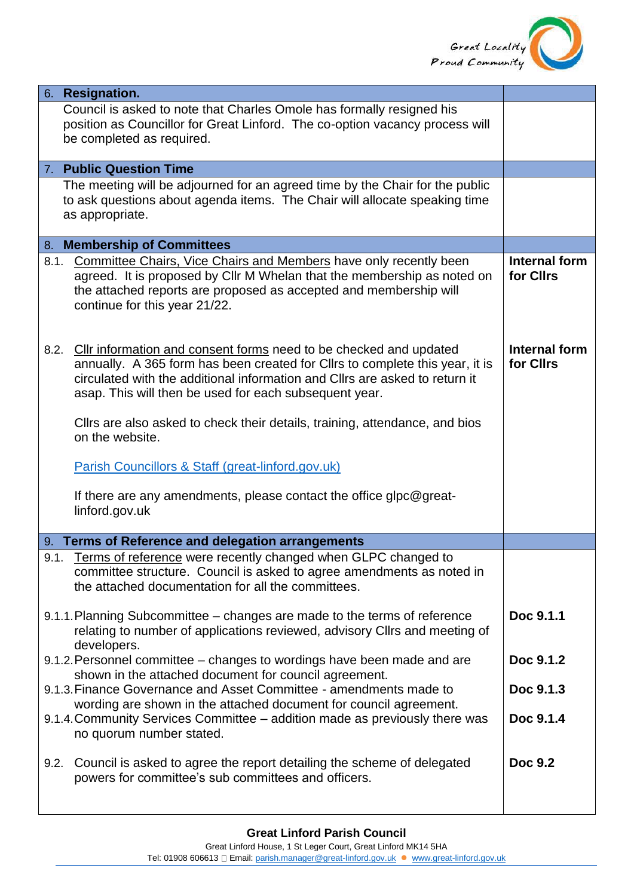

|      | 6. Resignation.                                                                                                                                            |                            |
|------|------------------------------------------------------------------------------------------------------------------------------------------------------------|----------------------------|
|      | Council is asked to note that Charles Omole has formally resigned his                                                                                      |                            |
|      | position as Councillor for Great Linford. The co-option vacancy process will                                                                               |                            |
|      | be completed as required.                                                                                                                                  |                            |
|      | 7. Public Question Time                                                                                                                                    |                            |
|      |                                                                                                                                                            |                            |
|      | The meeting will be adjourned for an agreed time by the Chair for the public<br>to ask questions about agenda items. The Chair will allocate speaking time |                            |
|      | as appropriate.                                                                                                                                            |                            |
|      |                                                                                                                                                            |                            |
|      | 8. Membership of Committees                                                                                                                                |                            |
| 8.1. | <b>Committee Chairs, Vice Chairs and Members have only recently been</b>                                                                                   | Internal form              |
|      | agreed. It is proposed by Cllr M Whelan that the membership as noted on                                                                                    | for Cllrs                  |
|      | the attached reports are proposed as accepted and membership will                                                                                          |                            |
|      | continue for this year 21/22.                                                                                                                              |                            |
|      |                                                                                                                                                            |                            |
|      |                                                                                                                                                            |                            |
| 8.2. | Cllr information and consent forms need to be checked and updated<br>annually. A 365 form has been created for Cllrs to complete this year, it is          | Internal form<br>for Cllrs |
|      | circulated with the additional information and ClIrs are asked to return it                                                                                |                            |
|      | asap. This will then be used for each subsequent year.                                                                                                     |                            |
|      |                                                                                                                                                            |                            |
|      | Cllrs are also asked to check their details, training, attendance, and bios                                                                                |                            |
|      | on the website.                                                                                                                                            |                            |
|      |                                                                                                                                                            |                            |
|      | Parish Councillors & Staff (great-linford.gov.uk)                                                                                                          |                            |
|      | If there are any amendments, please contact the office glpc@great-                                                                                         |                            |
|      | linford.gov.uk                                                                                                                                             |                            |
|      |                                                                                                                                                            |                            |
|      | 9. Terms of Reference and delegation arrangements                                                                                                          |                            |
|      | 9.1. Terms of reference were recently changed when GLPC changed to                                                                                         |                            |
|      | committee structure. Council is asked to agree amendments as noted in                                                                                      |                            |
|      | the attached documentation for all the committees.                                                                                                         |                            |
|      |                                                                                                                                                            | Doc 9.1.1                  |
|      | 9.1.1. Planning Subcommittee - changes are made to the terms of reference<br>relating to number of applications reviewed, advisory Cllrs and meeting of    |                            |
|      | developers.                                                                                                                                                |                            |
|      | 9.1.2. Personnel committee - changes to wordings have been made and are                                                                                    | Doc 9.1.2                  |
|      | shown in the attached document for council agreement.                                                                                                      |                            |
|      | 9.1.3. Finance Governance and Asset Committee - amendments made to                                                                                         | Doc 9.1.3                  |
|      | wording are shown in the attached document for council agreement.                                                                                          |                            |
|      | 9.1.4. Community Services Committee - addition made as previously there was                                                                                | Doc 9.1.4                  |
|      | no quorum number stated.                                                                                                                                   |                            |
|      |                                                                                                                                                            | <b>Doc 9.2</b>             |
| 9.2. | Council is asked to agree the report detailing the scheme of delegated<br>powers for committee's sub committees and officers.                              |                            |
|      |                                                                                                                                                            |                            |
|      |                                                                                                                                                            |                            |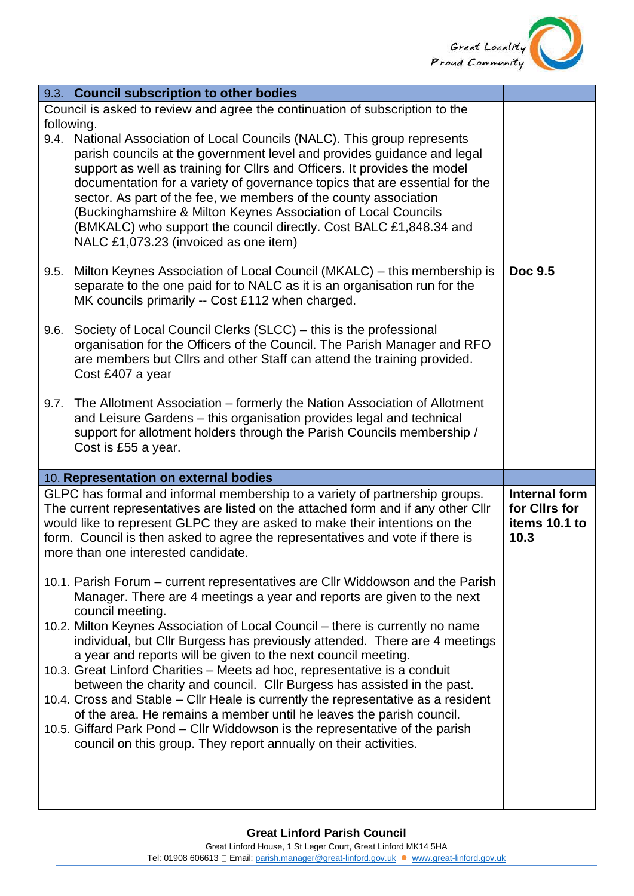

|                                                                              | 9.3. Council subscription to other bodies                                                                                                                                                                                                                                                                                                                                                                                                                                                                                                                             |                                                         |
|------------------------------------------------------------------------------|-----------------------------------------------------------------------------------------------------------------------------------------------------------------------------------------------------------------------------------------------------------------------------------------------------------------------------------------------------------------------------------------------------------------------------------------------------------------------------------------------------------------------------------------------------------------------|---------------------------------------------------------|
| Council is asked to review and agree the continuation of subscription to the |                                                                                                                                                                                                                                                                                                                                                                                                                                                                                                                                                                       |                                                         |
| following.                                                                   | 9.4. National Association of Local Councils (NALC). This group represents<br>parish councils at the government level and provides guidance and legal<br>support as well as training for Cllrs and Officers. It provides the model<br>documentation for a variety of governance topics that are essential for the<br>sector. As part of the fee, we members of the county association<br>(Buckinghamshire & Milton Keynes Association of Local Councils<br>(BMKALC) who support the council directly. Cost BALC £1,848.34 and<br>NALC £1,073.23 (invoiced as one item) |                                                         |
| 9.5.                                                                         | Milton Keynes Association of Local Council (MKALC) – this membership is<br>separate to the one paid for to NALC as it is an organisation run for the<br>MK councils primarily -- Cost £112 when charged.                                                                                                                                                                                                                                                                                                                                                              | Doc 9.5                                                 |
| 9.6.                                                                         | Society of Local Council Clerks (SLCC) – this is the professional<br>organisation for the Officers of the Council. The Parish Manager and RFO<br>are members but Cllrs and other Staff can attend the training provided.<br>Cost £407 a year                                                                                                                                                                                                                                                                                                                          |                                                         |
|                                                                              | 9.7. The Allotment Association – formerly the Nation Association of Allotment<br>and Leisure Gardens - this organisation provides legal and technical<br>support for allotment holders through the Parish Councils membership /<br>Cost is £55 a year.                                                                                                                                                                                                                                                                                                                |                                                         |
|                                                                              | 10. Representation on external bodies                                                                                                                                                                                                                                                                                                                                                                                                                                                                                                                                 |                                                         |
|                                                                              | GLPC has formal and informal membership to a variety of partnership groups.<br>The current representatives are listed on the attached form and if any other Cllr<br>would like to represent GLPC they are asked to make their intentions on the<br>form. Council is then asked to agree the representatives and vote if there is<br>more than one interested candidate.                                                                                                                                                                                               | Internal form<br>for Cllrs for<br>items 10.1 to<br>10.3 |
|                                                                              | 10.1. Parish Forum – current representatives are Cllr Widdowson and the Parish<br>Manager. There are 4 meetings a year and reports are given to the next<br>council meeting.                                                                                                                                                                                                                                                                                                                                                                                          |                                                         |
|                                                                              | 10.2. Milton Keynes Association of Local Council – there is currently no name<br>individual, but Cllr Burgess has previously attended. There are 4 meetings<br>a year and reports will be given to the next council meeting.                                                                                                                                                                                                                                                                                                                                          |                                                         |
|                                                                              | 10.3. Great Linford Charities - Meets ad hoc, representative is a conduit<br>between the charity and council. Cllr Burgess has assisted in the past.<br>10.4. Cross and Stable – Cllr Heale is currently the representative as a resident                                                                                                                                                                                                                                                                                                                             |                                                         |
|                                                                              | of the area. He remains a member until he leaves the parish council.<br>10.5. Giffard Park Pond – Cllr Widdowson is the representative of the parish<br>council on this group. They report annually on their activities.                                                                                                                                                                                                                                                                                                                                              |                                                         |
|                                                                              |                                                                                                                                                                                                                                                                                                                                                                                                                                                                                                                                                                       |                                                         |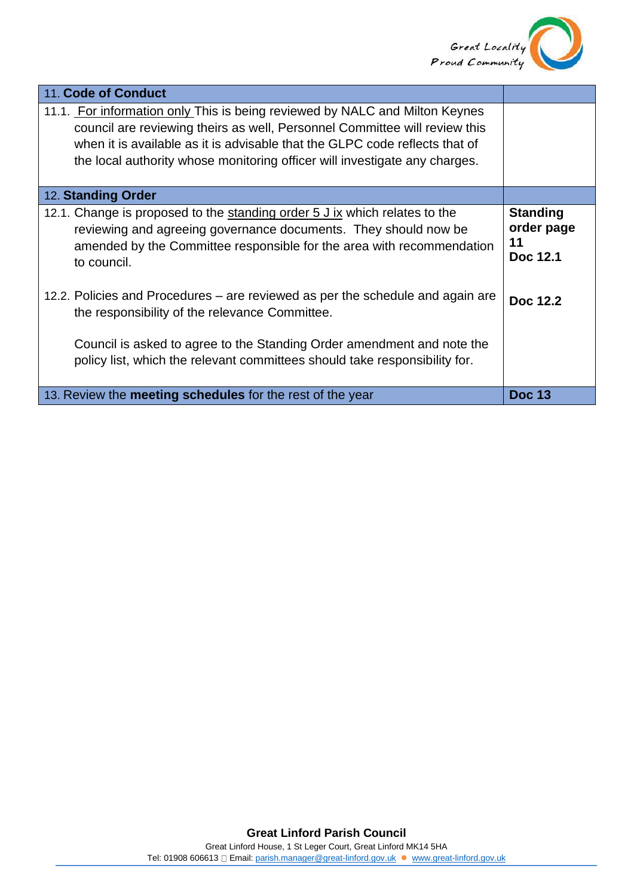

| <b>Standing</b><br>order page<br>11<br>Doc 12.1 |
|-------------------------------------------------|
| Doc 12.2                                        |
| <b>Doc 13</b>                                   |
|                                                 |